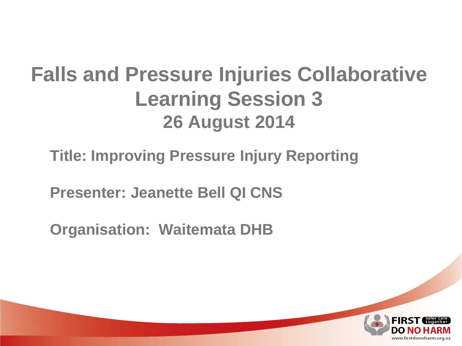### **Falls and Pressure Injuries Collaborative Learning Session 3 26 August 2014**

### **Title: Improving Pressure Injury Reporting**

**Presenter: Jeanette Bell QI CNS**

**Organisation: Waitemata DHB**

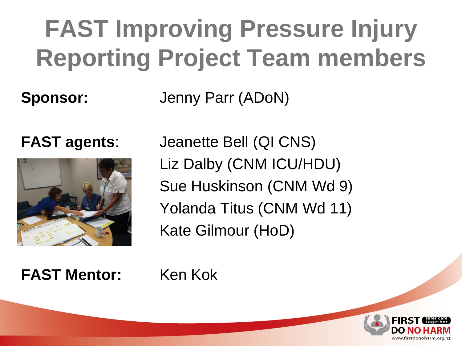## **FAST Improving Pressure Injury Reporting Project Team members**

**Sponsor:** Jenny Parr (ADoN)



**FAST agents**: Jeanette Bell (QI CNS) Liz Dalby (CNM ICU/HDU) Sue Huskinson (CNM Wd 9) Yolanda Titus (CNM Wd 11) Kate Gilmour (HoD)

**FAST Mentor:** Ken Kok

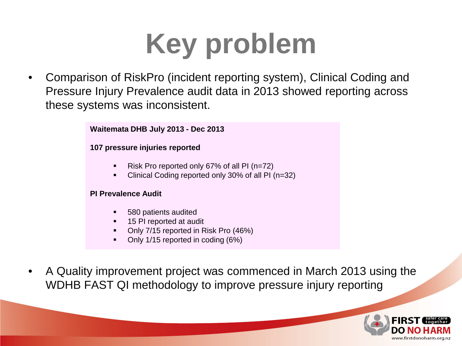# **Key problem**

• Comparison of RiskPro (incident reporting system), Clinical Coding and Pressure Injury Prevalence audit data in 2013 showed reporting across these systems was inconsistent.

**Waitemata DHB July 2013 - Dec 2013** 

#### **107 pressure injuries reported**

- Risk Pro reported only 67% of all PI (n=72)
- Clinical Coding reported only 30% of all PI (n=32)

#### **PI Prevalence Audit**

- 580 patients audited
- 15 PI reported at audit
- Only 7/15 reported in Risk Pro (46%)
- Only 1/15 reported in coding (6%)
- A Quality improvement project was commenced in March 2013 using the WDHB FAST QI methodology to improve pressure injury reporting

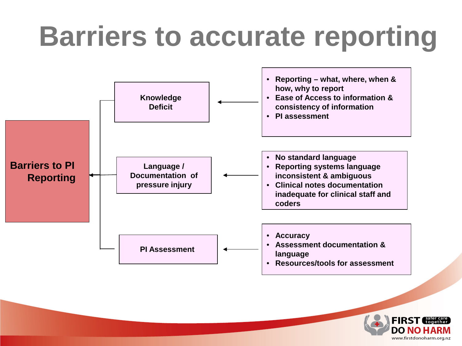# **Barriers to accurate reporting**



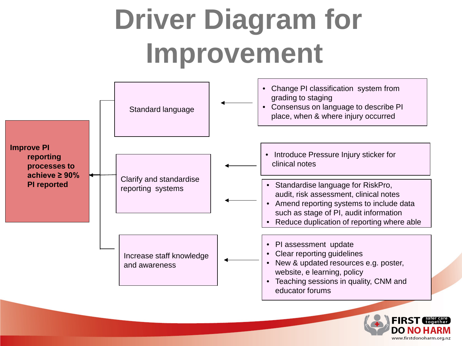#### Standard language Clarify and standardise reporting systems Increase staff knowledge and awareness • Change PI classification system from grading to staging • Consensus on language to describe PI place, when & where injury occurred • Standardise language for RiskPro, audit, risk assessment, clinical notes • Amend reporting systems to include data such as stage of PI, audit information • Reduce duplication of reporting where able • PI assessment update • Clear reporting guidelines • New & updated resources e.g. poster, website, e learning, policy • Teaching sessions in quality, CNM and educator forums **Improve PI reporting processes to achieve ≥ 90% PI reported Driver Diagram for Improvement** • Introduce Pressure Injury sticker for clinical notes

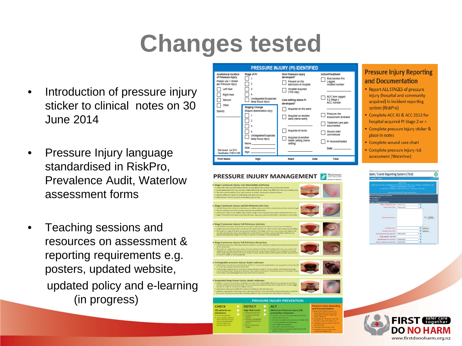### **Changes tested**

- Introduction of pressure injury sticker to clinical notes on 30 June 2014
- Pressure Injury language standardised in RiskPro, Prevalence Audit, Waterlow assessment forms
- Teaching sessions and resources on assessment & reporting requirements e.g. posters, updated website, updated policy and e-learning (in progress)



#### **Pressure Injury Reporting** and Documentation

- Report ALL STAGES of pressure injury (hospital and community acquired) in incident reporting system (RiskPro)
- Complete ACC 45 & ACC 2152 for hospital acquired PI Stage 2 or >
- Complete pressure injury sticker & place in notes
- Complete wound care chart
- Complete pressure injury risk assessment (Waterlow)



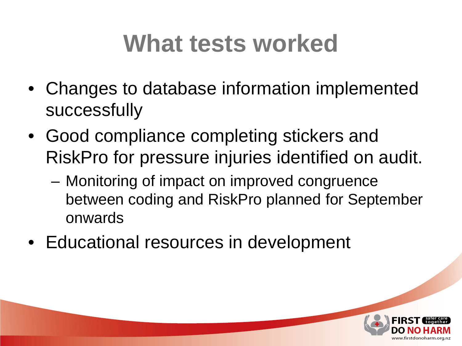### **What tests worked**

- Changes to database information implemented successfully
- Good compliance completing stickers and RiskPro for pressure injuries identified on audit.
	- Monitoring of impact on improved congruence between coding and RiskPro planned for September onwards
- Educational resources in development

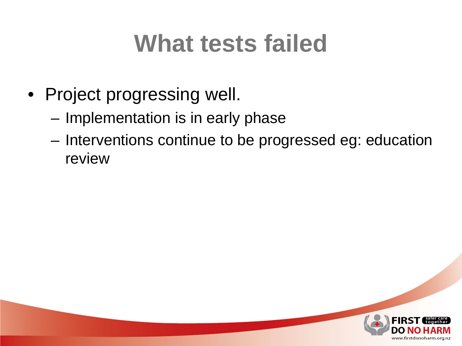### **What tests failed**

- Project progressing well.
	- Implementation is in early phase
	- Interventions continue to be progressed eg: education review

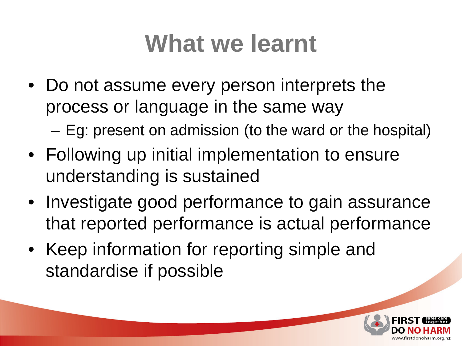### **What we learnt**

- Do not assume every person interprets the process or language in the same way
	- Eg: present on admission (to the ward or the hospital)
- Following up initial implementation to ensure understanding is sustained
- Investigate good performance to gain assurance that reported performance is actual performance
- Keep information for reporting simple and standardise if possible

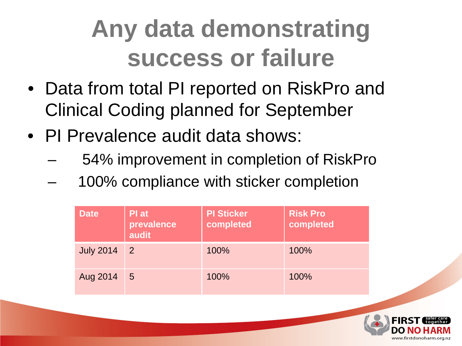## **Any data demonstrating success or failure**

- Data from total PI reported on RiskPro and Clinical Coding planned for September
- PI Prevalence audit data shows:
	- 54% improvement in completion of RiskPro
	- 100% compliance with sticker completion

| <b>Date</b>      | Pl at<br>prevalence<br>audit | <b>PI Sticker</b><br>completed | <b>Risk Pro</b><br>completed |
|------------------|------------------------------|--------------------------------|------------------------------|
| <b>July 2014</b> | 2                            | 100%                           | 100%                         |
| Aug 2014         | $\overline{5}$               | 100%                           | 100%                         |

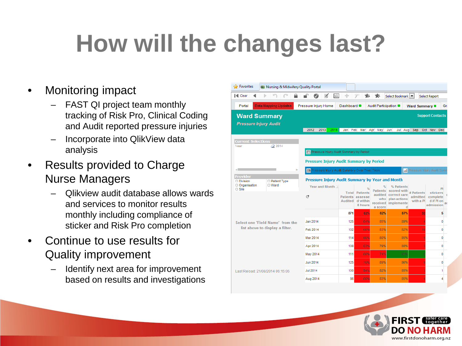## **How will the changes last?**

### • Monitoring impact

- FAST QI project team monthly tracking of Risk Pro, Clinical Coding and Audit reported pressure injuries
- Incorporate into QlikView data analysis
- Results provided to Charge Nurse Managers
	- Qlikview audit database allows wards and services to monitor results monthly including compliance of sticker and Risk Pro completion
- Continue to use results for Quality improvement
	- Identify next area for improvement based on results and investigations

| Pavorites                                                                                                                                   | Q Nursing & Midwifery Quality Portal |                                                   |                          |                                           |                       |                                          |                           |                              |  |
|---------------------------------------------------------------------------------------------------------------------------------------------|--------------------------------------|---------------------------------------------------|--------------------------|-------------------------------------------|-----------------------|------------------------------------------|---------------------------|------------------------------|--|
| I <l clear<="" th=""><th></th><th>hh.</th><th>÷</th><th></th><th>食 ま</th><th>Select Bookmark</th><th></th><th><b>Select Report</b></th></l> |                                      | hh.                                               | ÷                        |                                           | 食 ま                   | Select Bookmark                          |                           | <b>Select Report</b>         |  |
| Portal                                                                                                                                      | Data Mapping Updates                 | Pressure Injury Home                              | Dashboard O              |                                           | Audit Participation ■ |                                          | Ward Summary <sup>®</sup> | Gr:                          |  |
|                                                                                                                                             | <b>Ward Summary</b>                  |                                                   |                          |                                           |                       |                                          |                           | <b>Support Contacts</b>      |  |
|                                                                                                                                             | <b>Pressure Injury Audit</b>         |                                                   |                          |                                           |                       |                                          |                           |                              |  |
|                                                                                                                                             |                                      | 2012<br>2013                                      | 2014 Jan Feb Mar Apr May |                                           |                       | Jul Aug Sep<br>Jun                       |                           | Oct Nov Dec                  |  |
| <b>Current Selections</b>                                                                                                                   |                                      |                                                   |                          |                                           |                       |                                          |                           |                              |  |
| Year                                                                                                                                        | 2 2014                               | <b>FT</b> Pressure Injury Audit Summary by Period |                          |                                           |                       |                                          |                           |                              |  |
|                                                                                                                                             |                                      |                                                   |                          |                                           |                       |                                          |                           |                              |  |
|                                                                                                                                             |                                      | <b>Pressure Injury Audit Summary by Period</b>    |                          |                                           |                       |                                          |                           |                              |  |
|                                                                                                                                             |                                      | Pressure Injury Audit Summary Over Time: Table    |                          |                                           |                       |                                          |                           | M Pressure Injury Audit Summ |  |
| <b>Provider</b><br>□ Division                                                                                                               | □ Patient Type                       | Pressure Injury Audit Summary by Year and Month   |                          |                                           |                       |                                          |                           |                              |  |
| O Organisation<br>$\Box$ Site                                                                                                               | □ Ward                               | Year and Month                                    |                          |                                           |                       | % Patients<br>Patients scored with       |                           | PI                           |  |
|                                                                                                                                             |                                      | C                                                 |                          | <b>Total Patients</b><br>Patients assesse |                       | audited correct care<br>who plan actions | # Patients<br>admitted    | stickers<br>complete         |  |
|                                                                                                                                             |                                      |                                                   |                          | Audited d within<br>8 hours               | a score               | received implemente<br>d                 | with a PI                 | d if PI on<br>admission      |  |
| Select one 'Field Name' from the<br>list above to display a filter.                                                                         |                                      |                                                   | 871                      | 62%                                       | 82%                   | 87%                                      | 32                        | 5                            |  |
|                                                                                                                                             |                                      | Jan 2014                                          | 125                      | 64%                                       | 85%                   | 89%                                      |                           | 0                            |  |
|                                                                                                                                             |                                      | Feb 2014                                          | 102                      | 60%                                       | 83%                   | 82%                                      | 10                        | 0                            |  |
|                                                                                                                                             |                                      | Mar 2014                                          | 114                      | 60%                                       | 80%                   | 85%                                      |                           | $\mathbf 0$                  |  |
|                                                                                                                                             |                                      | Apr 2014                                          | 108                      | 63%                                       | 79%                   | 88%                                      |                           | 0                            |  |
|                                                                                                                                             |                                      | May 2014                                          | 111                      | 60%                                       | 74%                   | 91%                                      |                           | 0                            |  |
|                                                                                                                                             |                                      | <b>Jun 2014</b>                                   | 125                      | 70%                                       | 89%                   | 86%                                      |                           | 0                            |  |
|                                                                                                                                             | Last Reload: 21/08/2014 06:15:06     | <b>Jul 2014</b>                                   | 100                      | 54%                                       | 82%                   | 85%                                      |                           | 1                            |  |
|                                                                                                                                             |                                      | Aug 2014                                          | 86                       | 60%                                       | 83%                   | 85%                                      |                           | 4                            |  |